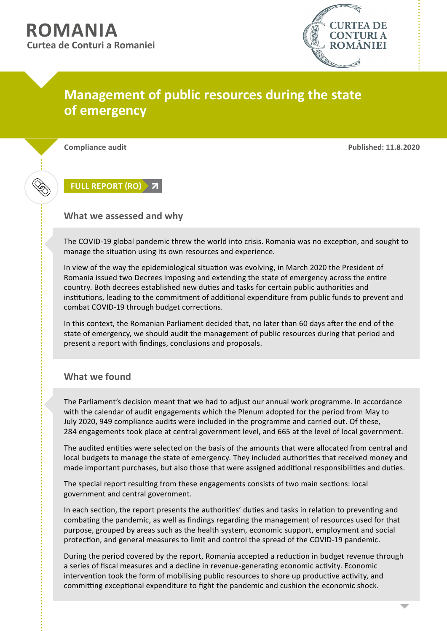

## **Management of public resources during the state of emergency**

**Compliance audit Published: 11.8.2020**

**[FULL REPORT \(RO\)](https://www.curteadeconturi.ro/uploads/ecc1a2ec/10f04824/7f113d76/03e44595/ba80c21a/a50f520a/efac014f/ab27e066/Raport_stare_urgenta_11082020.pdf)**

## **What we assessed and why**

The COVID-19 global pandemic threw the world into crisis. Romania was no exception, and sought to manage the situation using its own resources and experience.

In view of the way the epidemiological situation was evolving, in March 2020 the President of Romania issued two Decrees imposing and extending the state of emergency across the entire country. Both decrees established new duties and tasks for certain public authorities and institutions, leading to the commitment of additional expenditure from public funds to prevent and combat COVID-19 through budget corrections.

In this context, the Romanian Parliament decided that, no later than 60 days after the end of the state of emergency, we should audit the management of public resources during that period and present a report with findings, conclusions and proposals.

## **What we found**

The Parliament's decision meant that we had to adjust our annual work programme. In accordance with the calendar of audit engagements which the Plenum adopted for the period from May to July 2020, 949 compliance audits were included in the programme and carried out. Of these, 284 engagements took place at central government level, and 665 at the level of local government.

The audited entities were selected on the basis of the amounts that were allocated from central and local budgets to manage the state of emergency. They included authorities that received money and made important purchases, but also those that were assigned additional responsibilities and duties.

The special report resulting from these engagements consists of two main sections: local government and central government.

In each section, the report presents the authorities' duties and tasks in relation to preventing and combating the pandemic, as well as findings regarding the management of resources used for that purpose, grouped by areas such as the health system, economic support, employment and social protection, and general measures to limit and control the spread of the COVID-19 pandemic.

During the period covered by the report, Romania accepted a reduction in budget revenue through a series of fiscal measures and a decline in revenue-generating economic activity. Economic intervention took the form of mobilising public resources to shore up productive activity, and committing exceptional expenditure to fight the pandemic and cushion the economic shock.